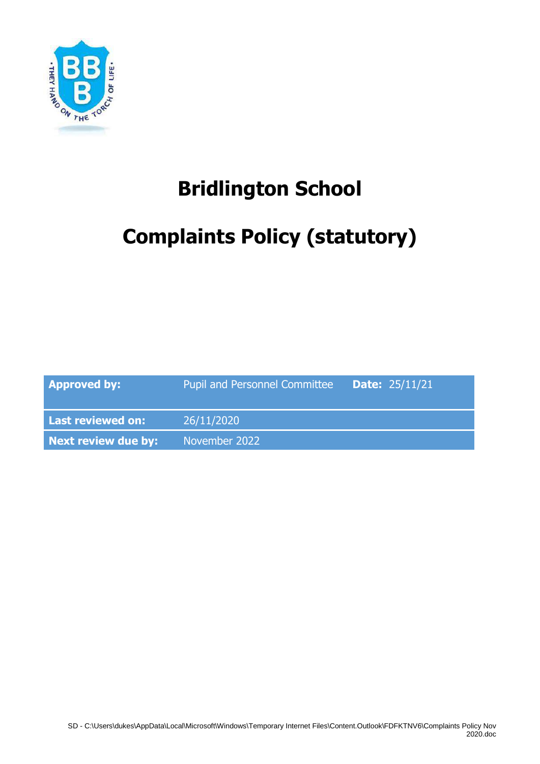

## **Bridlington School**

# **Complaints Policy (statutory)**

| <b>Approved by:</b> | <b>Pupil and Personnel Committee</b> | <b>Date:</b> $25/11/21$ |
|---------------------|--------------------------------------|-------------------------|
| Last reviewed on:   | 26/11/2020                           |                         |
| Next review due by: | November 2022                        |                         |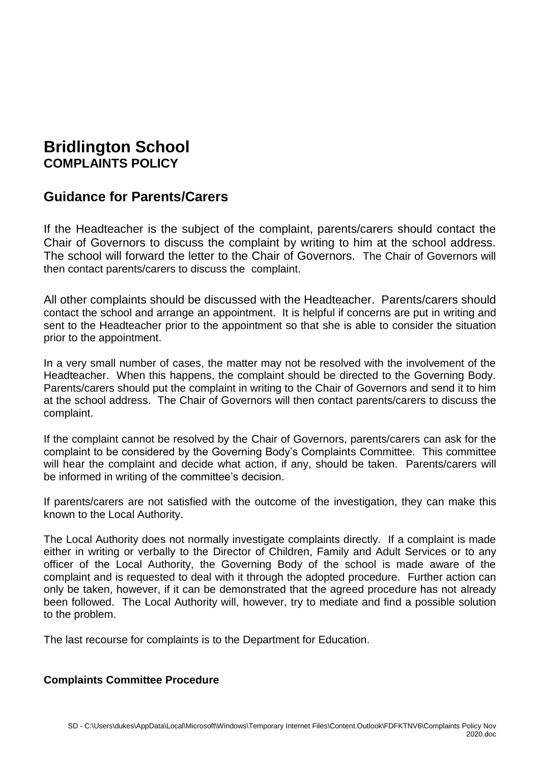## **Bridlington School COMPLAINTS POLICY**

## **Guidance for Parents/Carers**

If the Headteacher is the subject of the complaint, parents/carers should contact the Chair of Governors to discuss the complaint by writing to him at the school address. The school will forward the letter to the Chair of Governors. The Chair of Governors will then contact parents/carers to discuss the complaint.

All other complaints should be discussed with the Headteacher. Parents/carers should contact the school and arrange an appointment. It is helpful if concerns are put in writing and sent to the Headteacher prior to the appointment so that she is able to consider the situation prior to the appointment.

In a very small number of cases, the matter may not be resolved with the involvement of the Headteacher. When this happens, the complaint should be directed to the Governing Body. Parents/carers should put the complaint in writing to the Chair of Governors and send it to him at the school address. The Chair of Governors will then contact parents/carers to discuss the complaint.

If the complaint cannot be resolved by the Chair of Governors, parents/carers can ask for the complaint to be considered by the Governing Body's Complaints Committee. This committee will hear the complaint and decide what action, if any, should be taken. Parents/carers will be informed in writing of the committee's decision.

If parents/carers are not satisfied with the outcome of the investigation, they can make this known to the Local Authority.

The Local Authority does not normally investigate complaints directly. If a complaint is made either in writing or verbally to the Director of Children, Family and Adult Services or to any officer of the Local Authority, the Governing Body of the school is made aware of the complaint and is requested to deal with it through the adopted procedure. Further action can only be taken, however, if it can be demonstrated that the agreed procedure has not already been followed. The Local Authority will, however, try to mediate and find a possible solution to the problem.

The last recourse for complaints is to the Department for Education.

### **Complaints Committee Procedure**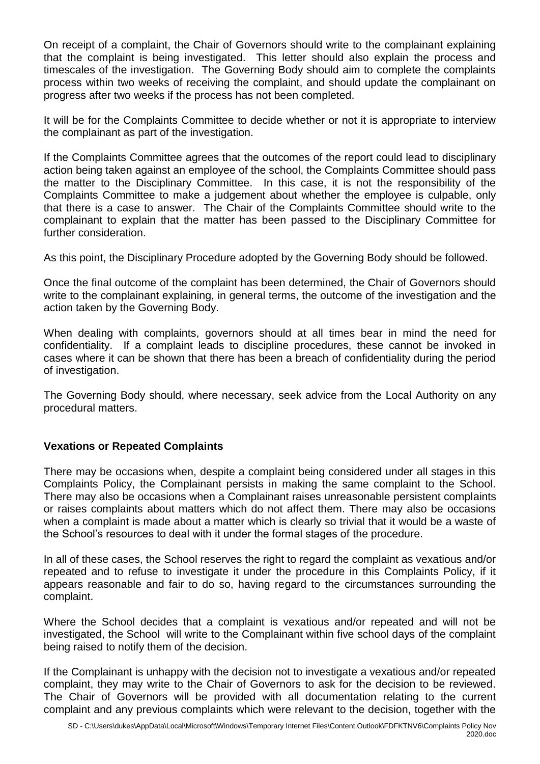On receipt of a complaint, the Chair of Governors should write to the complainant explaining that the complaint is being investigated. This letter should also explain the process and timescales of the investigation. The Governing Body should aim to complete the complaints process within two weeks of receiving the complaint, and should update the complainant on progress after two weeks if the process has not been completed.

It will be for the Complaints Committee to decide whether or not it is appropriate to interview the complainant as part of the investigation.

If the Complaints Committee agrees that the outcomes of the report could lead to disciplinary action being taken against an employee of the school, the Complaints Committee should pass the matter to the Disciplinary Committee. In this case, it is not the responsibility of the Complaints Committee to make a judgement about whether the employee is culpable, only that there is a case to answer. The Chair of the Complaints Committee should write to the complainant to explain that the matter has been passed to the Disciplinary Committee for further consideration.

As this point, the Disciplinary Procedure adopted by the Governing Body should be followed.

Once the final outcome of the complaint has been determined, the Chair of Governors should write to the complainant explaining, in general terms, the outcome of the investigation and the action taken by the Governing Body.

When dealing with complaints, governors should at all times bear in mind the need for confidentiality. If a complaint leads to discipline procedures, these cannot be invoked in cases where it can be shown that there has been a breach of confidentiality during the period of investigation.

The Governing Body should, where necessary, seek advice from the Local Authority on any procedural matters.

### **Vexations or Repeated Complaints**

There may be occasions when, despite a complaint being considered under all stages in this Complaints Policy, the Complainant persists in making the same complaint to the School. There may also be occasions when a Complainant raises unreasonable persistent complaints or raises complaints about matters which do not affect them. There may also be occasions when a complaint is made about a matter which is clearly so trivial that it would be a waste of the School's resources to deal with it under the formal stages of the procedure.

In all of these cases, the School reserves the right to regard the complaint as vexatious and/or repeated and to refuse to investigate it under the procedure in this Complaints Policy, if it appears reasonable and fair to do so, having regard to the circumstances surrounding the complaint.

Where the School decides that a complaint is vexatious and/or repeated and will not be investigated, the School will write to the Complainant within five school days of the complaint being raised to notify them of the decision.

If the Complainant is unhappy with the decision not to investigate a vexatious and/or repeated complaint, they may write to the Chair of Governors to ask for the decision to be reviewed. The Chair of Governors will be provided with all documentation relating to the current complaint and any previous complaints which were relevant to the decision, together with the